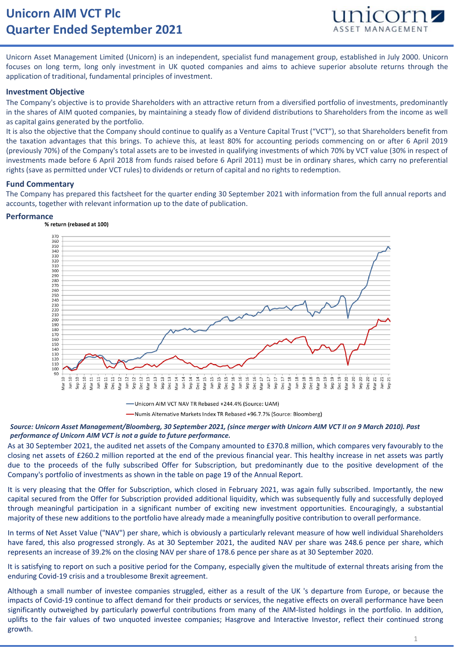# **Unicorn AIM VCT Plc Quarter Ended September 2021**



Unicorn Asset Management Limited (Unicorn) is an independent, specialist fund management group, established in July 2000. Unicorn focuses on long term, long only investment in UK quoted companies and aims to achieve superior absolute returns through the application of traditional, fundamental principles of investment.

### **Investment Objective**

The Company's objective is to provide Shareholders with an attractive return from a diversified portfolio of investments, predominantly in the shares of AIM quoted companies, by maintaining a steady flow of dividend distributions to Shareholders from the income as well as capital gains generated by the portfolio.

It is also the objective that the Company should continue to qualify as a Venture Capital Trust ("VCT"), so that Shareholders benefit from the taxation advantages that this brings. To achieve this, at least 80% for accounting periods commencing on or after 6 April 2019 (previously 70%) of the Company's total assets are to be invested in qualifying investments of which 70% by VCT value (30% in respect of investments made before 6 April 2018 from funds raised before 6 April 2011) must be in ordinary shares, which carry no preferential rights (save as permitted under VCT rules) to dividends or return of capital and no rights to redemption.

### **Fund Commentary**

The Company has prepared this factsheet for the quarter ending 30 September 2021 with information from the full annual reports and accounts, together with relevant information up to the date of publication.

## **Performance**



-Unicorn AIM VCT NAV TR Rebased +244.4% (Source: UAM) -Numis Alternative Markets Index TR Rebased +96.7.7% (Source: Bloomberg)

#### *Source: Unicorn Asset Management/Bloomberg, 30 September 2021, (since merger with Unicorn AIM VCT II on 9 March 2010). Past performance of Unicorn AIM VCT is not a guide to future performance.*

As at 30 September 2021, the audited net assets of the Company amounted to £370.8 million, which compares very favourably to the closing net assets of £260.2 million reported at the end of the previous financial year. This healthy increase in net assets was partly due to the proceeds of the fully subscribed Offer for Subscription, but predominantly due to the positive development of the Company's portfolio of investments as shown in the table on page 19 of the Annual Report.

It is very pleasing that the Offer for Subscription, which closed in February 2021, was again fully subscribed. Importantly, the new capital secured from the Offer for Subscription provided additional liquidity, which was subsequently fully and successfully deployed through meaningful participation in a significant number of exciting new investment opportunities. Encouragingly, a substantial majority of these new additions to the portfolio have already made a meaningfully positive contribution to overall performance.

In terms of Net Asset Value ("NAV") per share, which is obviously a particularly relevant measure of how well individual Shareholders have fared, this also progressed strongly. As at 30 September 2021, the audited NAV per share was 248.6 pence per share, which represents an increase of 39.2% on the closing NAV per share of 178.6 pence per share as at 30 September 2020.

It is satisfying to report on such a positive period for the Company, especially given the multitude of external threats arising from the<br>It is satisfying to report on such a positive period for the Company, especially giv ausiying to report on such a positive period for the<br>sing Covid 10 crisis and a troublesome Browlt agreer enduring Covid-19 crisis and a troublesome Brexit agreement.<br>

Although a small number of investee companies struggled, either as a result of the UK 's departure from Europe, or because the impacts of Covid-19 continue to affect demand for their products or services, the negative effects on overall performance have been<br>similized by autualished by regularly revealed east in their products of the AIM listed ha significantly outweighed by particularly powerful contributions from many of the AIM-listed holdings in the portfolio. In addition, uplifts to the fair values of two unquoted investee companies; Hasgrove and Interactive Investor, reflect their continued strong growth.